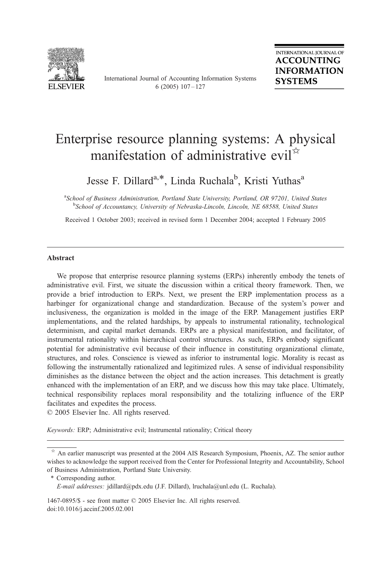

International Journal of Accounting Information Systems 6 (2005)  $107 - 127$ 

## Enterprise resource planning systems: A physical manifestation of administrative evil $\mathbb{R}$

Jesse F. Dillard<sup>a,\*</sup>, Linda Ruchala<sup>b</sup>, Kristi Yuthas<sup>a</sup>

<sup>a</sup>School of Business Administration, Portland State University, Portland, OR 97201, United States **b**School of Accountancy, University of Nebraska-Lincoln, Lincoln, NE 68588, United States

Received 1 October 2003; received in revised form 1 December 2004; accepted 1 February 2005

### Abstract

We propose that enterprise resource planning systems (ERPs) inherently embody the tenets of administrative evil. First, we situate the discussion within a critical theory framework. Then, we provide a brief introduction to ERPs. Next, we present the ERP implementation process as a harbinger for organizational change and standardization. Because of the system's power and inclusiveness, the organization is molded in the image of the ERP. Management justifies ERP implementations, and the related hardships, by appeals to instrumental rationality, technological determinism, and capital market demands. ERPs are a physical manifestation, and facilitator, of instrumental rationality within hierarchical control structures. As such, ERPs embody significant potential for administrative evil because of their influence in constituting organizational climate, structures, and roles. Conscience is viewed as inferior to instrumental logic. Morality is recast as following the instrumentally rationalized and legitimized rules. A sense of individual responsibility diminishes as the distance between the object and the action increases. This detachment is greatly enhanced with the implementation of an ERP, and we discuss how this may take place. Ultimately, technical responsibility replaces moral responsibility and the totalizing influence of the ERP facilitates and expedites the process.

 $\odot$  2005 Elsevier Inc. All rights reserved.

Keywords: ERP; Administrative evil; Instrumental rationality; Critical theory

1467-0895/\$ - see front matter © 2005 Elsevier Inc. All rights reserved. doi:10.1016/j.accinf.2005.02.001

<sup>B</sup> An earlier manuscript was presented at the 2004 AIS Research Symposium, Phoenix, AZ. The senior author wishes to acknowledge the support received from the Center for Professional Integrity and Accountability, School of Business Administration, Portland State University.

<sup>\*</sup> Corresponding author.

E-mail addresses: jdillard@pdx.edu (J.F. Dillard), lruchala@unl.edu (L. Ruchala).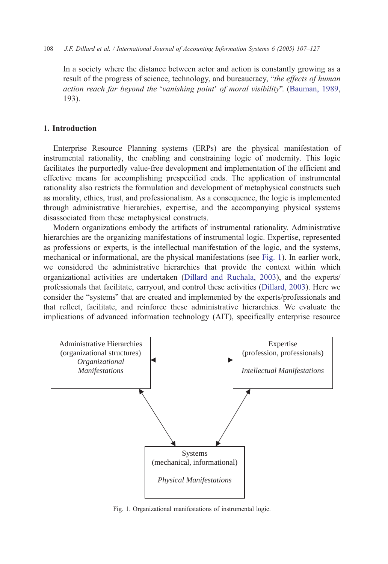#### 108 J.F. Dillard et al. / International Journal of Accounting Information Systems 6 (2005) 107–127

In a society where the distance between actor and action is constantly growing as a result of the progress of science, technology, and bureaucracy, "the effects of human action reach far beyond the 'vanishing point' of moral visibility"[. \(Bauman,](#page--1-0) 1989, 193).

### 1. Introduction

Enterprise Resource Planning systems (ERPs) are the physical manifestation of instrumental rationality, the enabling and constraining logic of modernity. This logic facilitates the purportedly value-free development and implementation of the efficient and effective means for accomplishing prespecified ends. The application of instrumental rationality also restricts the formulation and development of metaphysical constructs such as morality, ethics, trust, and professionalism. As a consequence, the logic is implemented through administrative hierarchies, expertise, and the accompanying physical systems disassociated from these metaphysical constructs.

Modern organizations embody the artifacts of instrumental rationality. Administrative hierarchies are the organizing manifestations of instrumental logic. Expertise, represented as professions or experts, is the intellectual manifestation of the logic, and the systems, mechanical or informational, are the physical manifestations (see Fig. 1). In earlier work, we considered the administrative hierarchies that provide the context within which organizational activities are undertaken ([Dillard and Ruchala, 2003\)](#page--1-0), and the experts/ professionals that facilitate, carryout, and control these activities ([Dillard, 2003\)](#page--1-0). Here we consider the "systems" that are created and implemented by the experts/professionals and that reflect, facilitate, and reinforce these administrative hierarchies. We evaluate the implications of advanced information technology (AIT), specifically enterprise resource



Fig. 1. Organizational manifestations of instrumental logic.